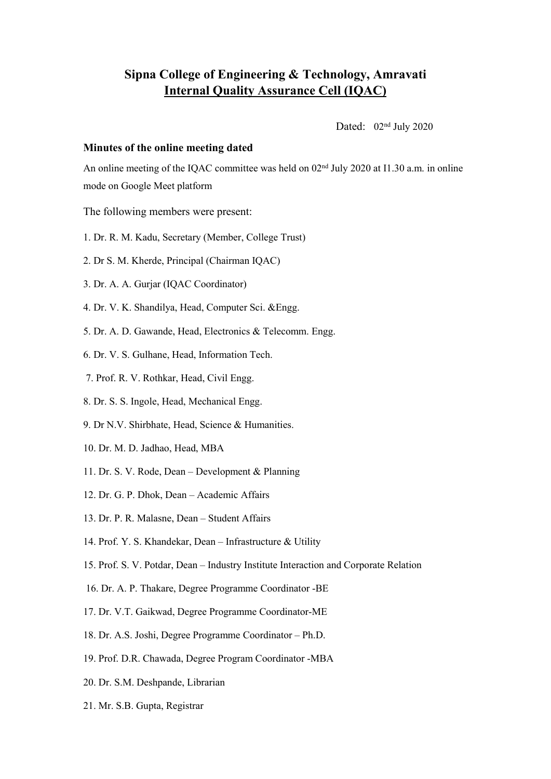## **Sipna College of Engineering & Technology, Amravati Internal Quality Assurance Cell (IQAC)**

Dated:  $02<sup>nd</sup>$  July 2020

## **Minutes** of the online meeting dated

An online meeting of the IQAC committee was held on  $02<sup>nd</sup>$  July 2020 at I1.30 a.m. in online mode on Google Meet platform

The following members were present:

- 1. Dr. R. M. Kadu, Secretary (Member, College Trust)
- 2. Dr S. M. Kherde, Principal (Chairman IQAC)
- 3. Dr. A. A. Gurjar (IQAC Coordinator)
- 4. Dr. V. K. Shandilya, Head, Computer Sci. &Engg.
- 5. Dr. A. D. Gawande, Head, Electronics & Telecomm. Engg.
- 6. Dr. V. S. Gulhane, Head, Information Tech.
- 7. Prof. R. V. Rothkar, Head, Civil Engg.
- 8. Dr. S. S. Ingole, Head, Mechanical Engg.
- 9. Dr N.V. Shirbhate, Head, Science & Humanities.
- 10. Dr. M. D. Jadhao, Head, MBA
- 11. Dr. S. V. Rode, Dean Development & Planning
- 12. Dr. G. P. Dhok, Dean Academic Affairs
- 13. Dr. P. R. Malasne, Dean Student Affairs
- 14. Prof. Y. S. Khandekar, Dean Infrastructure & Utility
- 15. Prof. S. V. Potdar, Dean Industry Institute Interaction and Corporate Relation
- 16. Dr. A. P. Thakare, Degree Programme Coordinator -BE
- 17. Dr. V.T. Gaikwad, Degree Programme Coordinator-ME
- 18. Dr. A.S. Joshi, Degree Programme Coordinator Ph.D.
- 19. Prof. D.R. Chawada, Degree Program Coordinator -MBA
- 20. Dr. S.M. Deshpande, Librarian
- 21. Mr. S.B. Gupta, Registrar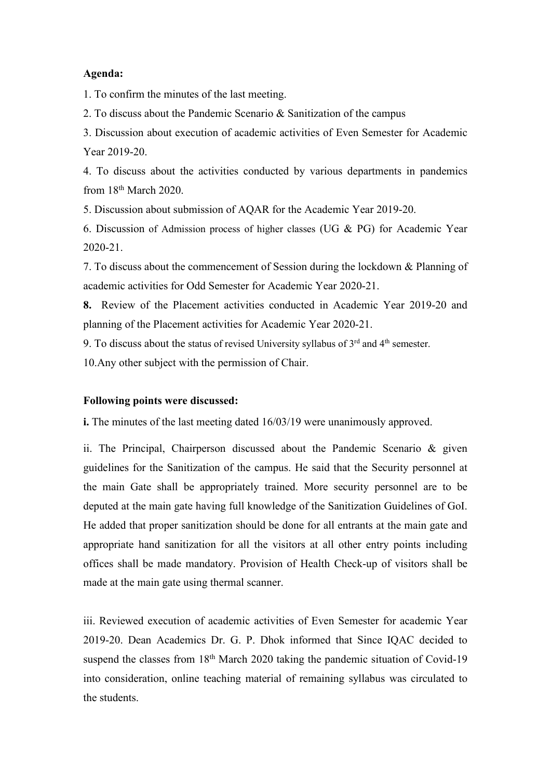## **Agenda:**

1. To confirm the minutes of the last meeting.

2. To discuss about the Pandemic Scenario & Sanitization of the campus

3. Discussion about execution of academic activities of Even Semester for Academic Year 2019-20.

4. To discuss about the activities conducted by various departments in pandemics from 18 th March 2020.

5. Discussion about submission of AQAR for the Academic Year 2019-20.

6. Discussion of Admission process of higher classes (UG & PG) for Academic Year 2020-21.

7. To discuss about the commencement of Session during the lockdown & Planning of academic activities for Odd Semester for Academic Year 2020-21.

**8.** Review of the Placement activities conducted in Academic Year 2019-20 and planning of the Placement activities for Academic Year 2020-21.

9. To discuss about the status of revised University syllabus of  $3<sup>rd</sup>$  and  $4<sup>th</sup>$  semester.

10.Any other subject with the permission of Chair.

## **Following points were discussed:**

**i.** The minutes of the last meeting dated 16/03/19 were unanimously approved.

ii. The Principal, Chairperson discussed about the Pandemic Scenario & given guidelines for the Sanitization of the campus.He said that the Security personnel at the main Gate shall be appropriately trained. More security personnel are to be deputed at the main gate having full knowledge of the Sanitization Guidelines of GoI. He added that proper sanitization should be done for all entrants at the main gate and appropriate hand sanitization for all the visitors at all other entry points including offices shall be made mandatory. Provision of Health Check-up of visitors shall be made at the main gate using thermal scanner.

iii. Reviewed execution of academic activities of Even Semester for academic Year 2019-20. Dean Academics Dr. G. P. Dhok informed that Since IQAC decided to suspend the classes from 18<sup>th</sup> March 2020 taking the pandemic situation of Covid-19 into consideration, online teaching material of remaining syllabus was circulated to the students.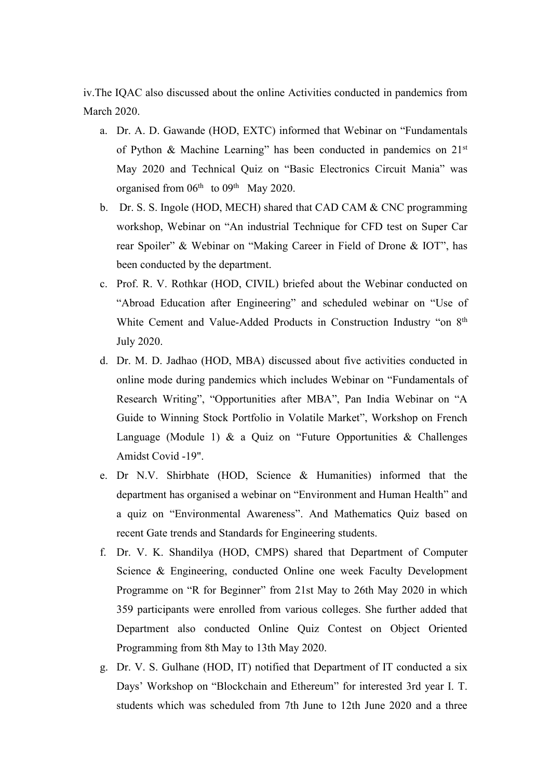iv.The IQAC also discussed about the online Activities conducted in pandemics from March 2020.

- a. Dr. A. D. Gawande (HOD, EXTC) informed that Webinar on "Fundamentals of Python & Machine Learning" has been conducted in pandemics on 21<sup>st</sup> May 2020 and Technical Quiz on "Basic Electronics Circuit Mania" was organised from 06<sup>th</sup> to 09<sup>th</sup> May 2020.
- b. Dr. S. S. Ingole (HOD, MECH) shared that CAD CAM  $&$  CNC programming workshop, Webinar on "An industrial Technique for CFD test on Super Car rear Spoiler" & Webinar on "Making Career in Field of Drone & IOT", has been conducted by the department.
- c. Prof. R. V. Rothkar (HOD, CIVIL) briefed about the Webinar conducted on "Abroad Education after Engineering" and scheduled webinar on "Use of White Cement and Value-Added Products in Construction Industry "on 8<sup>th</sup> July 2020.
- d. Dr. M. D. Jadhao (HOD, MBA) discussed about five activities conducted in online mode during pandemics which includes Webinar on "Fundamentals of Research Writing", "Opportunities after MBA", Pan India Webinar on "A Guide to Winning Stock Portfolio in Volatile Market", Workshop on French Language (Module 1) & a Quiz on "Future Opportunities & Challenges Amidst Covid -19".
- e. Dr N.V. Shirbhate (HOD, Science & Humanities) informed that the department has organised a webinar on "Environment and Human Health" and a quiz on "Environmental Awareness". And Mathematics Quiz based on recent Gate trends and Standards for Engineering students.
- f. Dr. V. K. Shandilya (HOD, CMPS) shared that Department of Computer Science & Engineering, conducted Online one week Faculty Development Programme on "R for Beginner" from 21st May to 26th May 2020 in which 359 participants were enrolled from various colleges. She further added that Department also conducted Online Quiz Contest on Object Oriented Programming from 8th May to 13th May 2020.
- g. Dr. V. S. Gulhane (HOD, IT) notified that Department of IT conducted a six Days' Workshop on "Blockchain and Ethereum" for interested 3rd year I. T. students which was scheduled from 7th June to 12th June 2020 and a three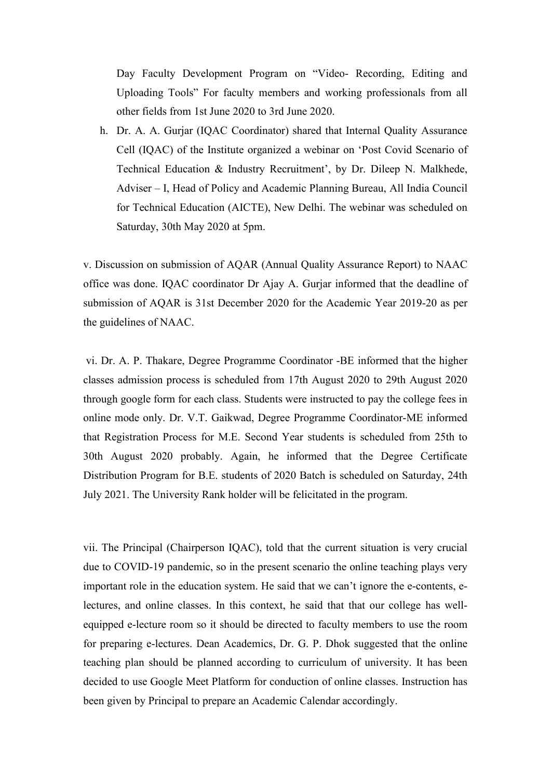Day Faculty Development Program on "Video- Recording, Editing and Uploading Tools" For faculty members and working professionals from all other fields from 1st June 2020 to 3rd June 2020.

h. Dr. A. A. Gurjar (IQAC Coordinator) shared that Internal Quality Assurance Cell (IQAC) of the Institute organized a webinar on 'Post Covid Scenario of Technical Education & Industry Recruitment', by Dr. Dileep N. Malkhede, Adviser – I, Head of Policy and Academic Planning Bureau, All India Council for Technical Education (AICTE), New Delhi. The webinar was scheduled on Saturday, 30th May 2020 at 5pm.

v. Discussion on submission of AQAR (Annual Quality Assurance Report) to NAAC office was done. IQAC coordinator Dr Ajay A. Gurjar informed that the deadline of submission of AQAR is 31st December 2020 for the Academic Year 2019-20 as per the guidelines of NAAC.

vi. Dr. A. P. Thakare, Degree Programme Coordinator -BE informed that the higher classes admission process is scheduled from 17th August 2020 to 29th August 2020 through google form for each class. Students were instructed to pay the college fees in online mode only. Dr. V.T. Gaikwad, Degree Programme Coordinator-ME informed that Registration Process for M.E. Second Year students is scheduled from 25th to 30th August 2020 probably. Again, he informed that the Degree Certificate Distribution Program for B.E. students of 2020 Batch is scheduled on Saturday, 24th July 2021. The University Rank holder will be felicitated in the program.

vii. The Principal (Chairperson IQAC), told that the current situation is very crucial due to COVID-19 pandemic, so in the present scenario the online teaching plays very important role in the education system. He said that we can't ignore the e-contents, electures, and online classes. In this context, he said that that our college has well equipped e-lecture room so it should be directed to faculty members to use the room for preparing e-lectures. Dean Academics, Dr. G. P. Dhok suggested that the online teaching plan should be planned according to curriculum of university. It has been decided to use Google Meet Platform for conduction of online classes. Instruction has been given by Principal to prepare an Academic Calendar accordingly.